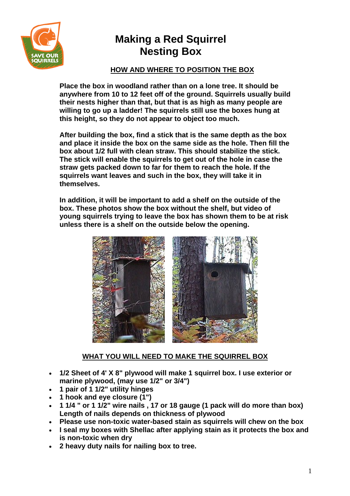

### **HOW AND WHERE TO POSITION THE BOX**

**Place the box in woodland rather than on a lone tree. It should be anywhere from 10 to 12 feet off of the ground. Squirrels usually build their nests higher than that, but that is as high as many people are willing to go up a ladder! The squirrels still use the boxes hung at this height, so they do not appear to object too much.**

**After building the box, find a stick that is the same depth as the box and place it inside the box on the same side as the hole. Then fill the box about 1/2 full with clean straw. This should stabilize the stick. The stick will enable the squirrels to get out of the hole in case the straw gets packed down to far for them to reach the hole. If the squirrels want leaves and such in the box, they will take it in themselves.**

**In addition, it will be important to add a shelf on the outside of the box. These photos show the box without the shelf, but video of young squirrels trying to leave the box has shown them to be at risk unless there is a shelf on the outside below the opening.** 



### **WHAT YOU WILL NEED TO MAKE THE SQUIRREL BOX**

- **1/2 Sheet of 4' X 8" plywood will make 1 squirrel box. I use exterior or marine plywood, (may use 1/2" or 3/4")**
- **1 pair of 1 1/2" utility hinges**
- **1 hook and eye closure (1")**
- **1 1/4 " or 1 1/2" wire nails , 17 or 18 gauge (1 pack will do more than box) Length of nails depends on thickness of plywood**
- **Please use non-toxic water-based stain as squirrels will chew on the box**
- **I seal my boxes with Shellac after applying stain as it protects the box and is non-toxic when dry**
- **2 heavy duty nails for nailing box to tree.**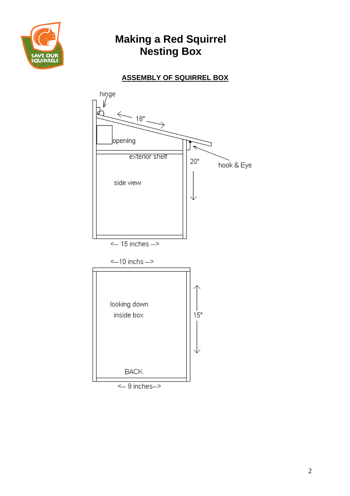

## **ASSEMBLY OF SQUIRREL BOX**



 $\leftarrow$  9 inches $\rightarrow$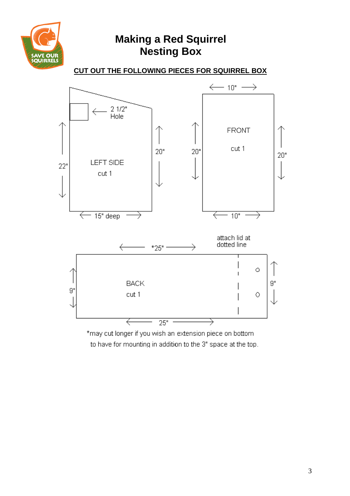

**CUT OUT THE FOLLOWING PIECES FOR SQUIRREL BOX**



to have for mounting in addition to the 3" space at the top.